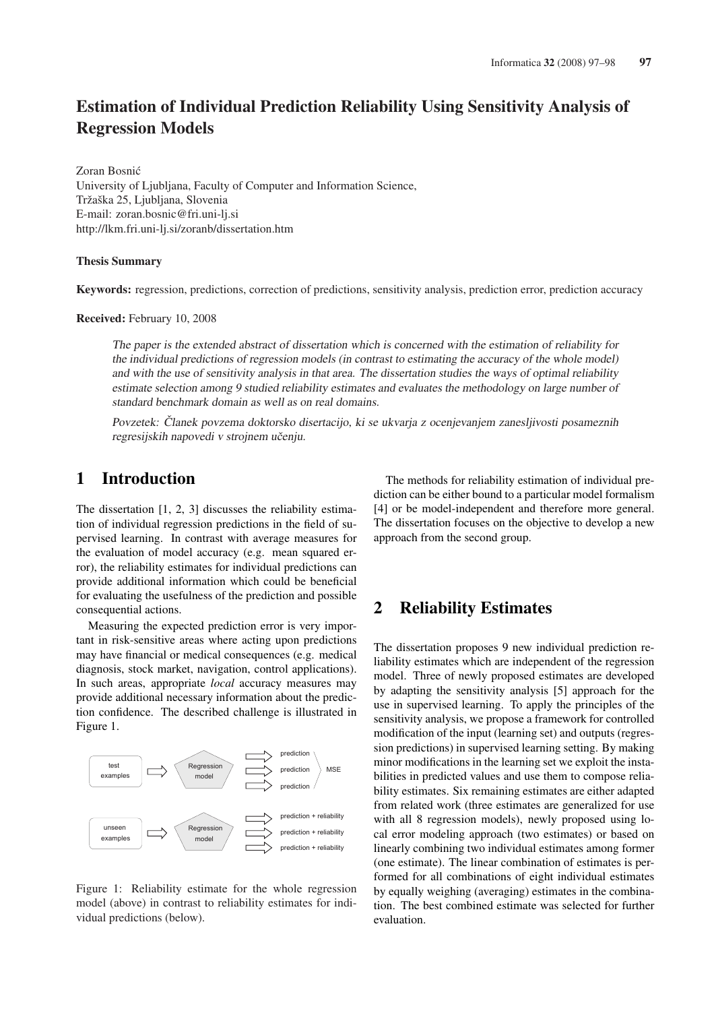# Estimation of Individual Prediction Reliability Using Sensitivity Analysis of Regression Models

Zoran Bosnic´

University of Ljubljana, Faculty of Computer and Information Science, Tržaška 25, Ljubljana, Slovenia E-mail: zoran.bosnic@fri.uni-lj.si http://lkm.fri.uni-lj.si/zoranb/dissertation.htm

#### Thesis Summary

Keywords: regression, predictions, correction of predictions, sensitivity analysis, prediction error, prediction accuracy

Received: February 10, 2008

The paper is the extended abstract of dissertation which is concerned with the estimation of reliability for the individual predictions of regression models (in contrast to estimating the accuracy of the whole model) and with the use of sensitivity analysis in that area. The dissertation studies the ways of optimal reliability estimate selection among <sup>9</sup> studied reliability estimates and evaluates the methodology on large number of standard benchmark domain as well as on real domains.

Povzetek: Clanek povzema doktorsko disertacijo, ki se ukvarja z ocenjevanjem zanesljivosti posameznih regresijskih napovedi v strojnem učenju.

#### 1 Introduction

The dissertation [1, 2, 3] discusses the reliability estimation of individual regression predictions in the field of supervised learning. In contrast with average measures for the evaluation of model accuracy (e.g. mean squared error), the reliability estimates for individual predictions can provide additional information which could be beneficial for evaluating the usefulness of the prediction and possible consequential actions.

Measuring the expected prediction error is very important in risk-sensitive areas where acting upon predictions may have financial or medical consequences (e.g. medical diagnosis, stock market, navigation, control applications). In such areas, appropriate *local* accuracy measures may provide additional necessary information about the prediction confidence. The described challenge is illustrated in Figure 1.



Figure 1: Reliability estimate for the whole regression model (above) in contrast to reliability estimates for individual predictions (below).

The methods for reliability estimation of individual prediction can be either bound to a particular model formalism [4] or be model-independent and therefore more general. The dissertation focuses on the objective to develop a new approach from the second group.

## 2 Reliability Estimates

The dissertation proposes 9 new individual prediction reliability estimates which are independent of the regression model. Three of newly proposed estimates are developed by adapting the sensitivity analysis [5] approach for the use in supervised learning. To apply the principles of the sensitivity analysis, we propose a framework for controlled modification of the input (learning set) and outputs (regression predictions) in supervised learning setting. By making minor modifications in the learning set we exploit the instabilities in predicted values and use them to compose reliability estimates. Six remaining estimates are either adapted from related work (three estimates are generalized for use with all 8 regression models), newly proposed using local error modeling approach (two estimates) or based on linearly combining two individual estimates among former (one estimate). The linear combination of estimates is performed for all combinations of eight individual estimates by equally weighing (averaging) estimates in the combination. The best combined estimate was selected for further evaluation.